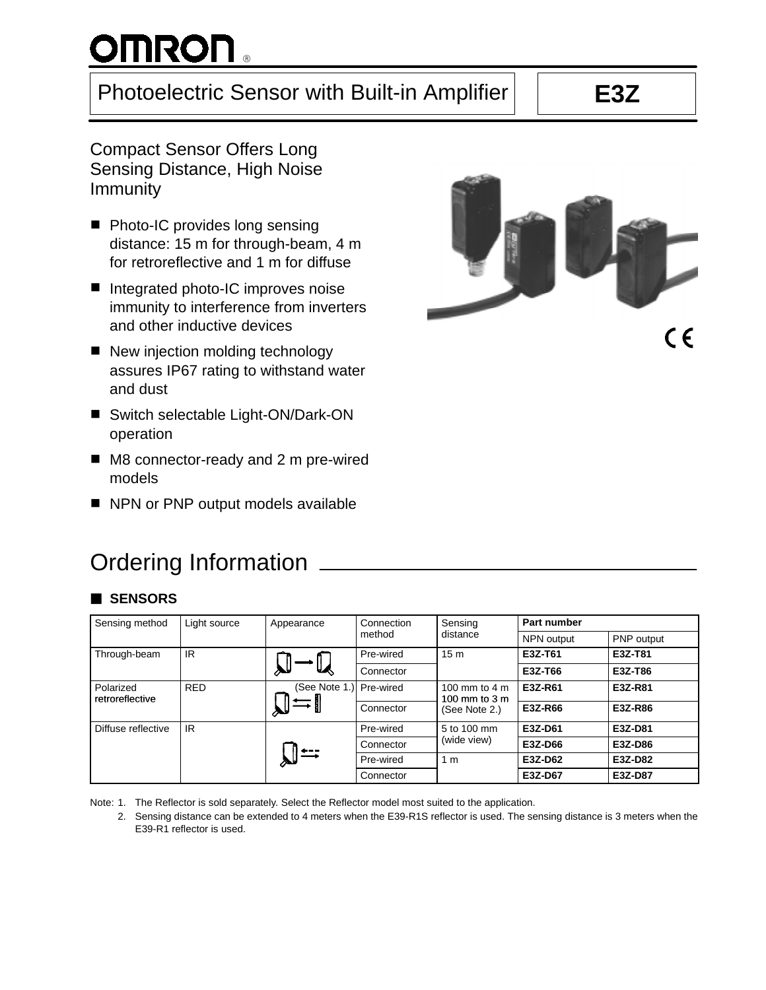# **OMRON** 。

# Photoelectric Sensor with Built-in Amplifier | | E3Z

Compact Sensor Offers Long Sensing Distance, High Noise Immunity

- Photo-IC provides long sensing distance: 15 m for through-beam, 4 m for retroreflective and 1 m for diffuse
- Integrated photo-IC improves noise immunity to interference from inverters and other inductive devices
- New injection molding technology assures IP67 rating to withstand water and dust
- Switch selectable Light-ON/Dark-ON operation
- M8 connector-ready and 2 m pre-wired models
- NPN or PNP output models available

# Ordering Information

# 3 **SENSORS**

| Sensing method                             | Light source | Appearance    | Connection<br>method | Sensing<br>distance                              | Part number |            |
|--------------------------------------------|--------------|---------------|----------------------|--------------------------------------------------|-------------|------------|
|                                            |              |               |                      |                                                  | NPN output  | PNP output |
| Through-beam                               | IR           |               | Pre-wired            | 15 <sub>m</sub>                                  | E3Z-T61     | E3Z-T81    |
|                                            |              | ₩             | Connector            |                                                  | E3Z-T66     | E3Z-T86    |
| <b>RED</b><br>Polarized<br>retroreflective |              | (See Note 1.) | Pre-wired            | 100 mm to 4 m<br>100 mm to $3m$<br>(See Note 2.) | E3Z-R61     | E3Z-R81    |
|                                            |              |               | Connector            |                                                  | E3Z-R66     | E3Z-R86    |
| IR<br>Diffuse reflective                   |              |               | Pre-wired            | 5 to 100 mm<br>(wide view)                       | E3Z-D61     | E3Z-D81    |
|                                            |              |               | Connector            |                                                  | E3Z-D66     | E3Z-D86    |
|                                            |              |               | Pre-wired            | 1 <sub>m</sub>                                   | E3Z-D62     | E3Z-D82    |
|                                            |              | Connector     |                      | E3Z-D67                                          | E3Z-D87     |            |

Note: 1. The Reflector is sold separately. Select the Reflector model most suited to the application.

2. Sensing distance can be extended to 4 meters when the E39-R1S reflector is used. The sensing distance is 3 meters when the E39-R1 reflector is used.

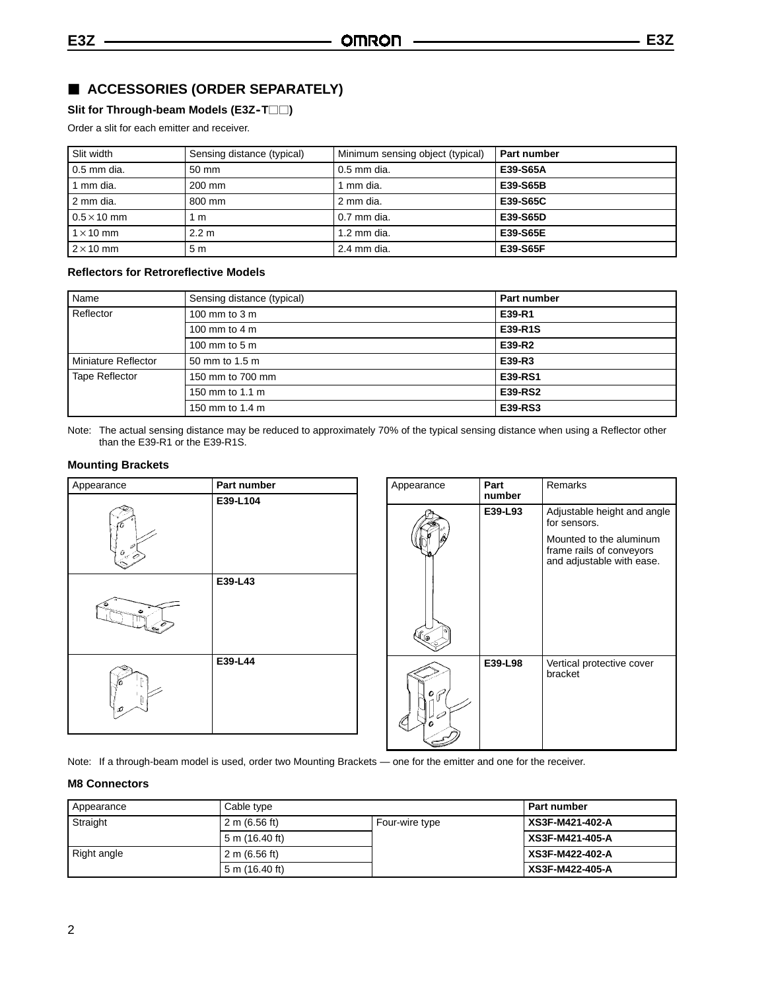# 3 **ACCESSORIES (ORDER SEPARATELY)**

Slit for Through-beam Models (E3Z-T $\Box$ )

Order a slit for each emitter and receiver.

| Slit width         | Sensing distance (typical) | Minimum sensing object (typical) | <b>Part number</b> |
|--------------------|----------------------------|----------------------------------|--------------------|
| 0.5 mm dia.        | $50 \text{ mm}$            | 0.5 mm dia.                      | E39-S65A           |
| 1 mm dia.          | $200 \text{ mm}$           | ∣ mm dia.                        | E39-S65B           |
| 2 mm dia.          | 800 mm                     | 2 mm dia.                        | E39-S65C           |
| $0.5 \times 10$ mm | 1 m                        | 0.7 mm dia.                      | E39-S65D           |
| $1 \times 10$ mm   | 2.2 m                      | $1.2$ mm dia.                    | E39-S65E           |
| $2 \times 10$ mm   | 5 <sub>m</sub>             | 2.4 mm dia.                      | E39-S65F           |

### **Reflectors for Retroreflective Models**

| Name                  | Sensing distance (typical) | Part number    |
|-----------------------|----------------------------|----------------|
| Reflector             | 100 mm to $3 \text{ m}$    | E39-R1         |
|                       | 100 mm to 4 m              | E39-R1S        |
|                       | 100 mm to 5 m              | E39-R2         |
| Miniature Reflector   | 50 mm to 1.5 m             | E39-R3         |
| <b>Tape Reflector</b> | 150 mm to 700 mm           | E39-RS1        |
|                       | 150 mm to 1.1 m            | <b>E39-RS2</b> |
|                       | 150 mm to 1.4 m            | E39-RS3        |

Note: The actual sensing distance may be reduced to approximately 70% of the typical sensing distance when using a Reflector other than the E39-R1 or the E39-R1S.

### **Mounting Brackets**

| Appearance | Part number |
|------------|-------------|
|            | E39-L104    |
|            | E39-L43     |
| D          | E39-L44     |

| Appearance | Part<br>number | Remarks                                                                          |
|------------|----------------|----------------------------------------------------------------------------------|
|            | E39-L93        | Adjustable height and angle<br>for sensors.                                      |
|            |                | Mounted to the aluminum<br>frame rails of conveyors<br>and adjustable with ease. |
| G          | E39-L98        | Vertical protective cover<br>bracket                                             |

Note: If a through-beam model is used, order two Mounting Brackets — one for the emitter and one for the receiver.

### **M8 Connectors**

| Appearance  | Cable type      |                | <b>Part number</b> |
|-------------|-----------------|----------------|--------------------|
| Straight    | 2 m $(6.56$ ft) | Four-wire type | XS3F-M421-402-A    |
|             | 5 m (16.40 ft)  |                | XS3F-M421-405-A    |
| Right angle | 2 m $(6.56$ ft) |                | XS3F-M422-402-A    |
|             | 5 m (16.40 ft)  |                | XS3F-M422-405-A    |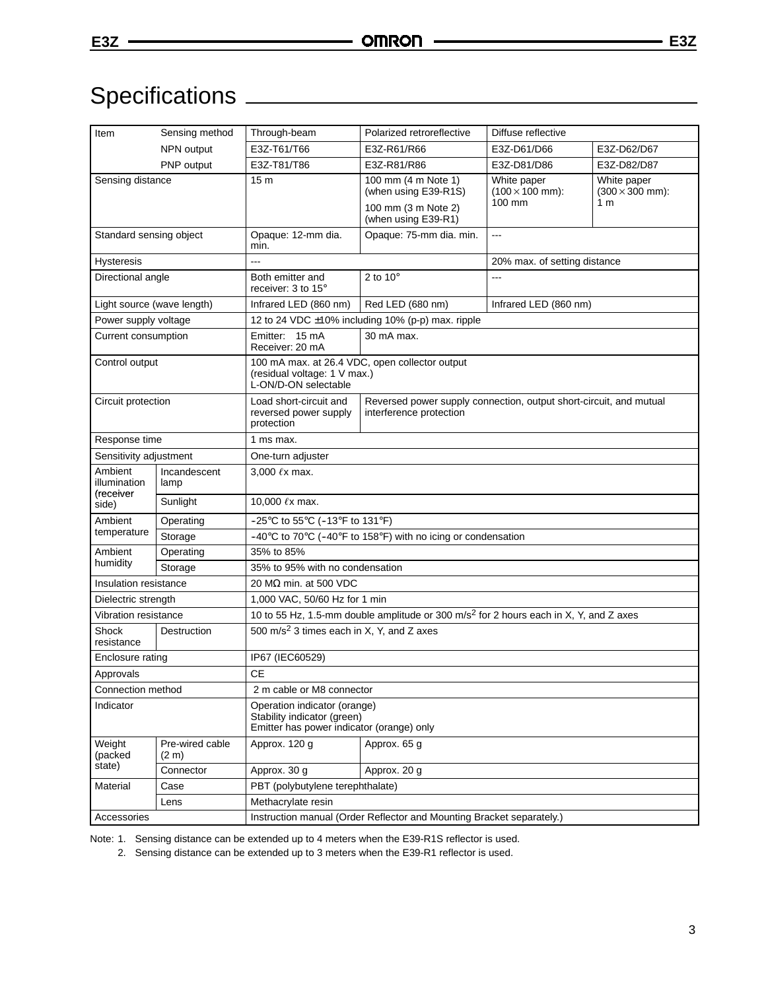# Specifications

| Item                       | Sensing method           | Through-beam                                                                                             | Polarized retroreflective                                                                            | Diffuse reflective                    |                                       |  |
|----------------------------|--------------------------|----------------------------------------------------------------------------------------------------------|------------------------------------------------------------------------------------------------------|---------------------------------------|---------------------------------------|--|
|                            | NPN output               | E3Z-T61/T66                                                                                              | E3Z-R61/R66                                                                                          | E3Z-D61/D66                           | E3Z-D62/D67                           |  |
|                            | PNP output               | E3Z-T81/T86                                                                                              | E3Z-R81/R86                                                                                          | E3Z-D81/D86                           | E3Z-D82/D87                           |  |
| Sensing distance           |                          | 15 <sub>m</sub>                                                                                          | 100 mm (4 m Note 1)<br>(when using E39-R1S)                                                          | White paper<br>$(100 \times 100$ mm): | White paper<br>$(300 \times 300$ mm): |  |
|                            |                          |                                                                                                          | 100 mm (3 m Note 2)<br>(when using E39-R1)                                                           | 100 mm                                | 1 <sub>m</sub>                        |  |
| Standard sensing object    |                          | Opaque: 12-mm dia.<br>min.                                                                               | Opaque: 75-mm dia. min.                                                                              | $\overline{a}$                        |                                       |  |
| Hysteresis                 |                          | ---                                                                                                      | 20% max. of setting distance                                                                         |                                       |                                       |  |
| Directional angle          |                          | Both emitter and<br>receiver: 3 to 15°                                                                   | 2 to $10^{\circ}$                                                                                    |                                       |                                       |  |
| Light source (wave length) |                          | Infrared LED (860 nm)                                                                                    | Red LED (680 nm)<br>Infrared LED (860 nm)                                                            |                                       |                                       |  |
| Power supply voltage       |                          |                                                                                                          | 12 to 24 VDC ±10% including 10% (p-p) max. ripple                                                    |                                       |                                       |  |
| Current consumption        |                          | Emitter: 15 mA<br>Receiver: 20 mA                                                                        | 30 mA max.                                                                                           |                                       |                                       |  |
| Control output             |                          | L-ON/D-ON selectable                                                                                     | 100 mA max. at 26.4 VDC, open collector output<br>(residual voltage: 1 V max.)                       |                                       |                                       |  |
| Circuit protection         |                          | Load short-circuit and<br>reversed power supply<br>protection                                            | Reversed power supply connection, output short-circuit, and mutual<br>interference protection        |                                       |                                       |  |
| Response time              |                          | 1 ms max.                                                                                                |                                                                                                      |                                       |                                       |  |
| Sensitivity adjustment     |                          | One-turn adjuster                                                                                        |                                                                                                      |                                       |                                       |  |
| Ambient<br>illumination    | Incandescent<br>lamp     | 3,000 $\ell$ x max.                                                                                      |                                                                                                      |                                       |                                       |  |
| (receiver<br>side)         | Sunlight                 | 10,000 ℓx max.                                                                                           |                                                                                                      |                                       |                                       |  |
| Ambient                    | Operating                |                                                                                                          | $-25^{\circ}$ C to 55 $^{\circ}$ C ( $-13^{\circ}$ F to 131 $^{\circ}$ F)                            |                                       |                                       |  |
| temperature                | Storage                  |                                                                                                          | -40 $\degree$ C to 70 $\degree$ C (-40 $\degree$ F to 158 $\degree$ F) with no icing or condensation |                                       |                                       |  |
| Ambient                    | Operating                | 35% to 85%                                                                                               |                                                                                                      |                                       |                                       |  |
| humidity                   | Storage                  | 35% to 95% with no condensation                                                                          |                                                                                                      |                                       |                                       |  |
| Insulation resistance      |                          | 20 MΩ min. at 500 VDC                                                                                    |                                                                                                      |                                       |                                       |  |
| Dielectric strength        |                          | 1,000 VAC, 50/60 Hz for 1 min                                                                            |                                                                                                      |                                       |                                       |  |
| Vibration resistance       |                          | 10 to 55 Hz, 1.5-mm double amplitude or 300 m/s <sup>2</sup> for 2 hours each in X, Y, and Z axes        |                                                                                                      |                                       |                                       |  |
| Shock<br>resistance        | Destruction              | 500 m/s <sup>2</sup> 3 times each in X, Y, and Z axes                                                    |                                                                                                      |                                       |                                       |  |
| Enclosure rating           |                          | IP67 (IEC60529)                                                                                          |                                                                                                      |                                       |                                       |  |
| Approvals                  |                          | <b>CE</b>                                                                                                |                                                                                                      |                                       |                                       |  |
| Connection method          |                          | 2 m cable or M8 connector                                                                                |                                                                                                      |                                       |                                       |  |
| Indicator                  |                          | Operation indicator (orange)<br>Stability indicator (green)<br>Emitter has power indicator (orange) only |                                                                                                      |                                       |                                       |  |
| Weight<br>(packed          | Pre-wired cable<br>(2 m) | Approx. 120 g                                                                                            | Approx. 65 g                                                                                         |                                       |                                       |  |
| state)                     | Connector                | Approx. 30 g                                                                                             | Approx. 20 g                                                                                         |                                       |                                       |  |
| Material                   | Case                     | PBT (polybutylene terephthalate)                                                                         |                                                                                                      |                                       |                                       |  |
|                            | Lens                     | Methacrylate resin                                                                                       |                                                                                                      |                                       |                                       |  |
| Accessories                |                          | Instruction manual (Order Reflector and Mounting Bracket separately.)                                    |                                                                                                      |                                       |                                       |  |

Note: 1. Sensing distance can be extended up to 4 meters when the E39-R1S reflector is used.

2. Sensing distance can be extended up to 3 meters when the E39-R1 reflector is used.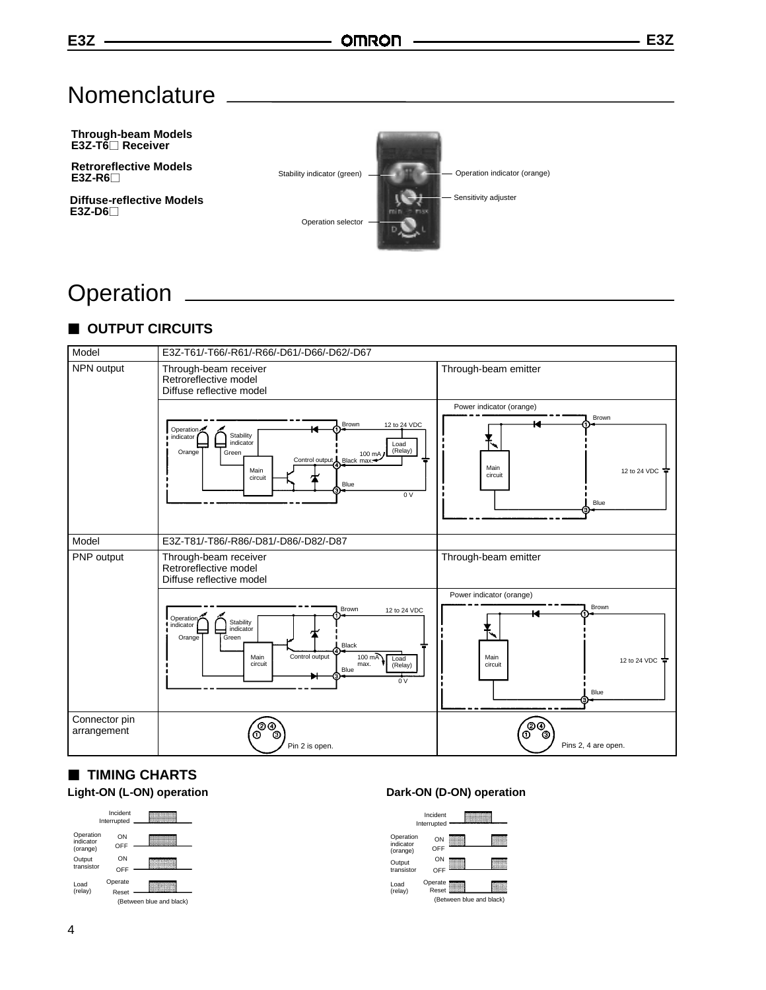# **Nomenclature**



# **Operation**

# $\blacksquare$  **OUTPUT CIRCUITS**



# $\blacksquare$  **TIMING CHARTS**



### Light-ON (L-ON) operation **Dark-ON (D-ON)** operation

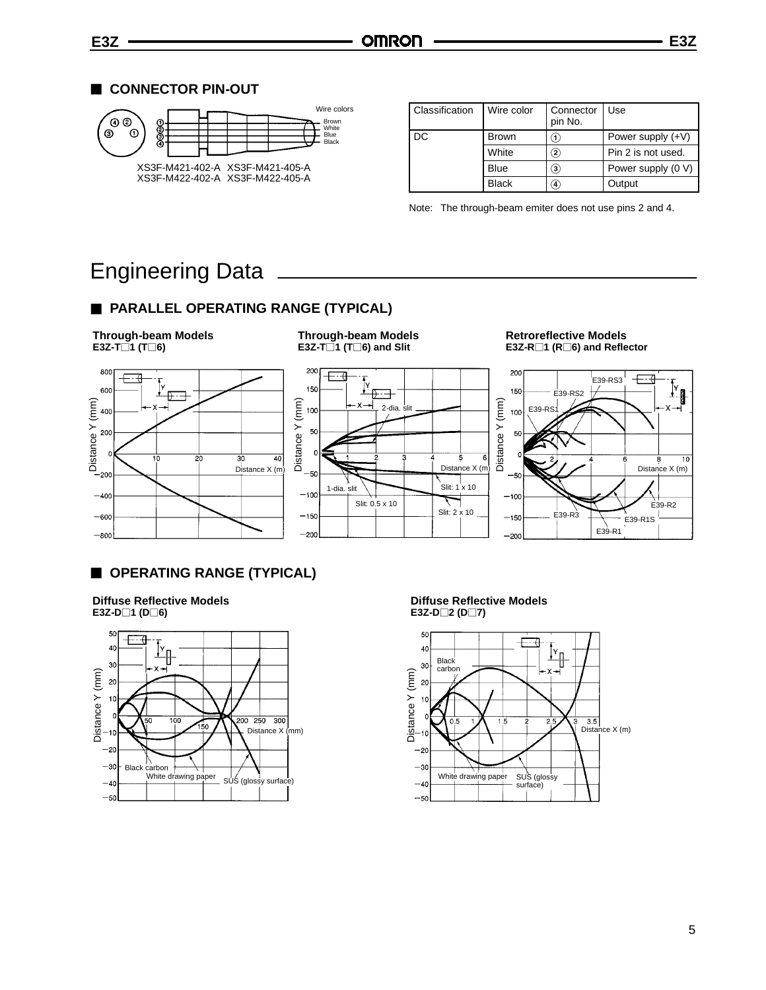

| Classification | Wire color   | Connector<br>pin No. | Use                 |
|----------------|--------------|----------------------|---------------------|
| DC             | <b>Brown</b> | 〔1〕                  | Power supply $(+V)$ |
|                | White        | $\bf (2)$            | Pin 2 is not used.  |
|                | <b>Blue</b>  | $\bf{(3)}$           | Power supply (0 V)  |
|                | <b>Black</b> | $\left( 4\right)$    | Output              |

Note: The through-beam emiter does not use pins 2 and 4.

# Engineering Data

# $\blacksquare$  **PARALLEL OPERATING RANGE (TYPICAL)**

**Through-beam Models**  $E3Z-T\bar{1}$  (T $\bar{1}$ 6)



### **Through-beam Models E3Z-T** $\overline{\phantom{a}}$ **1** (**T** $\overline{\phantom{a}}$ **6**) and Slit



### **Retroreflective Models E3Z-R**P**1 (R**P**6) and Reflector**



# $\blacksquare$  **OPERATING RANGE (TYPICAL)**

**Diffuse Reflective Models**  $E3Z-D \Box 1 (D \Box 6)$ 



#### **Diffuse Reflective Models E3Z-D**□2 (**D**□7)

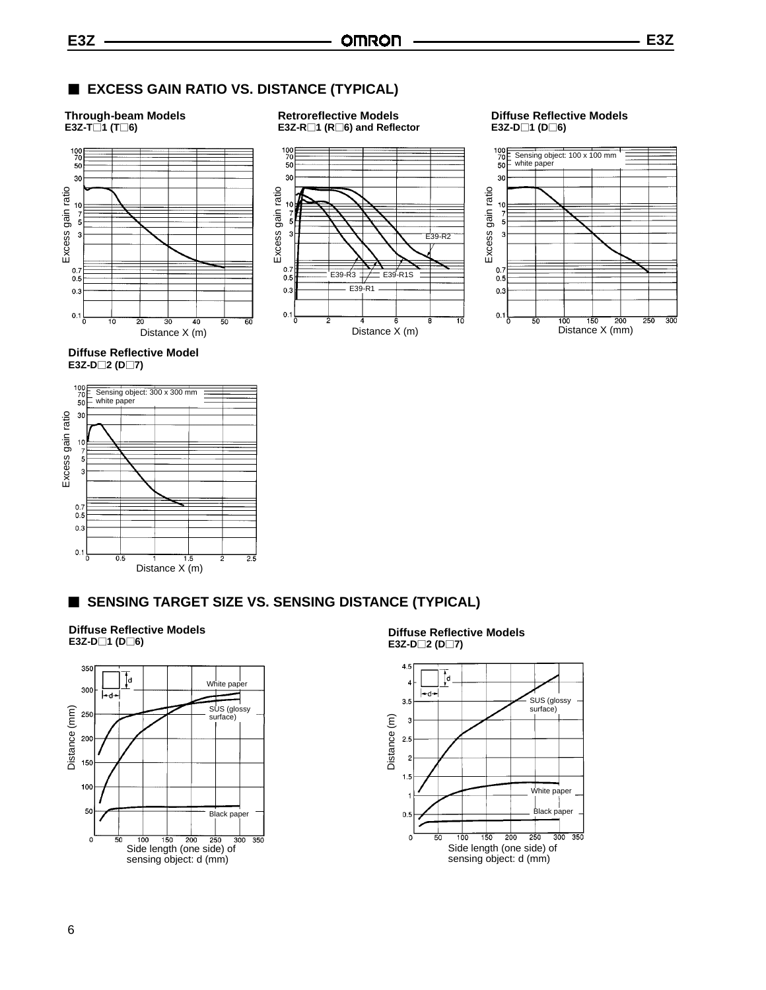**Retroreflective Models E3Z-R**P**1 (R**P**6) and Reflector**

### 3 **EXCESS GAIN RATIO VS. DISTANCE (TYPICAL)**

#### **Through-beam Models E3Z-T**P**1 (T**P**6)**





### **Diffuse Reflective Models E3Z-D**□1 (D□6)



**Diffuse Reflective Model E3Z-D**□2 (D□7)



## **SENSING TARGET SIZE VS. SENSING DISTANCE (TYPICAL)**

**Diffuse Reflective Models E3Z-D**□1 (D□6)



**Diffuse Reflective Models E3Z-D**□2 (D□7)

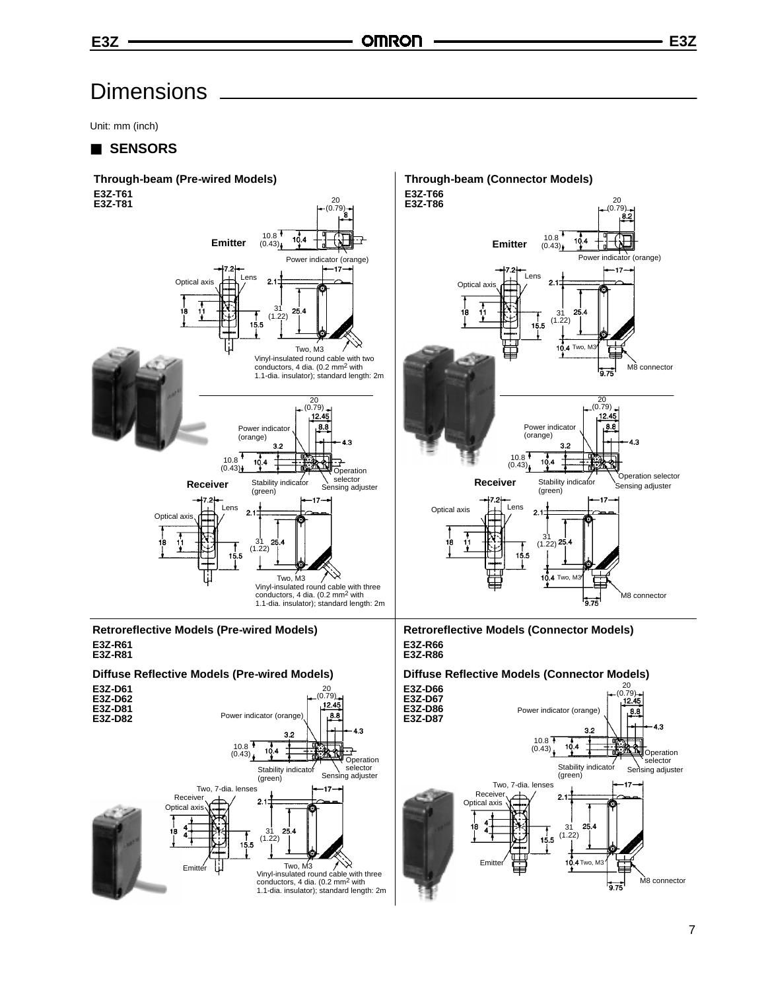Unit: mm (inch)

### 3 **SENSORS**



1.1-dia. insulator); standard length: 2m

 $9.75$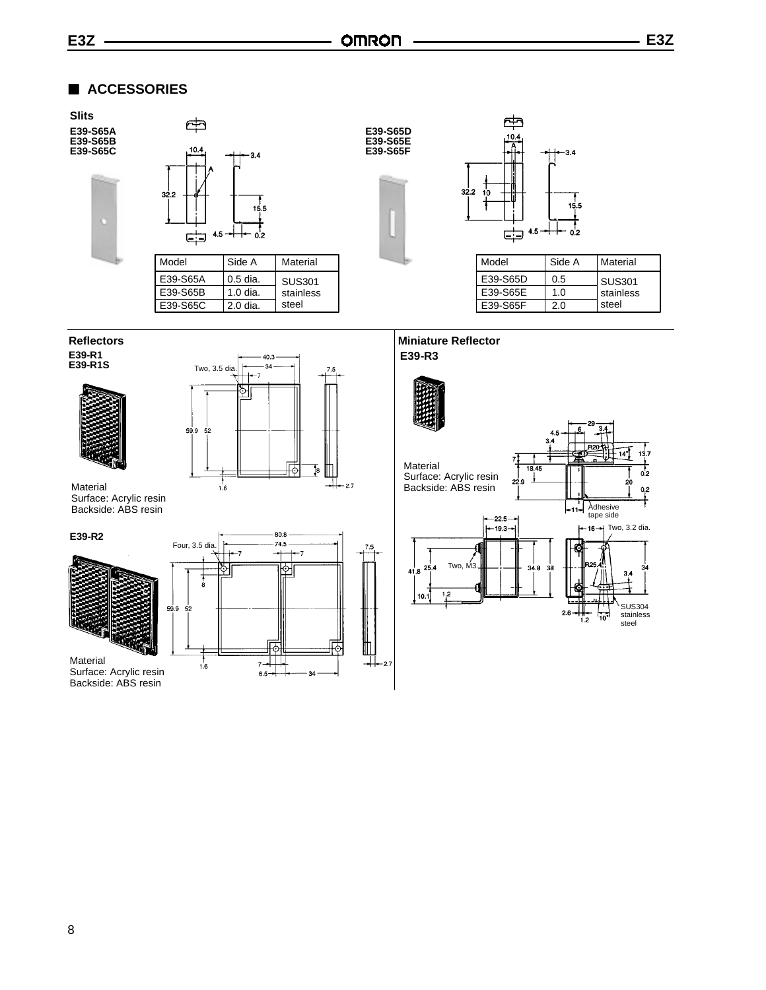SUS304 stainless steel

 $13.7$  $\frac{1}{\sigma^2}$ 

 $^{0,2}$ 

3 **ACCESSORIES**



Backside: ABS resin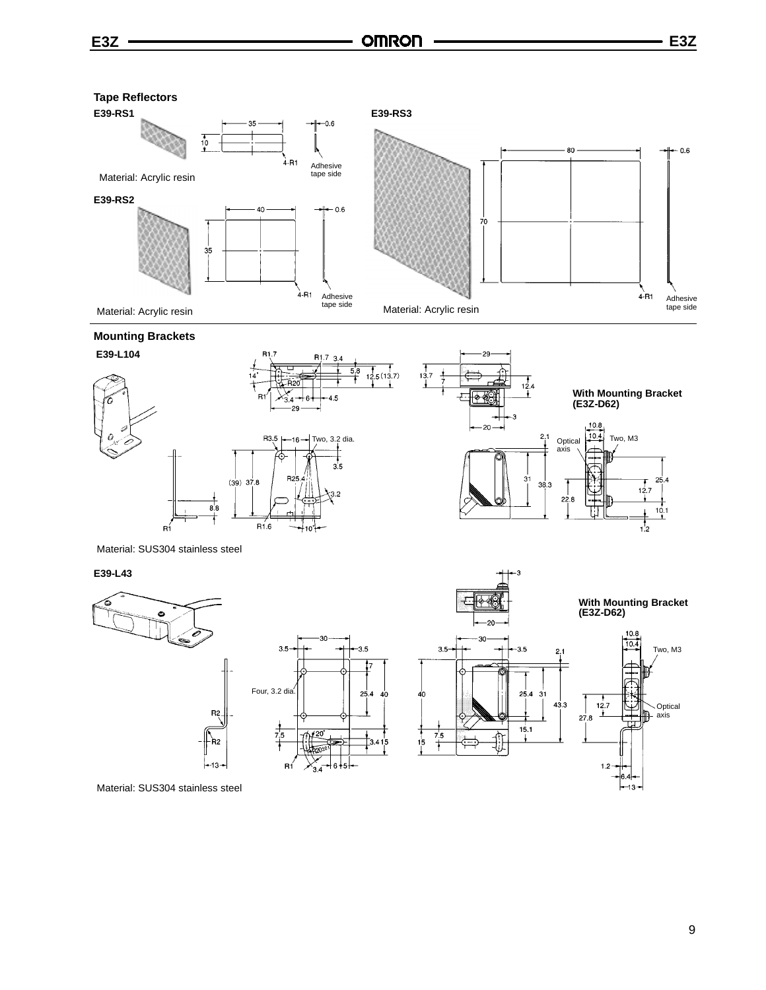

### **Mounting Brackets**





Material: SUS304 stainless steel

#### **E39-L43**







Material: SUS304 stainless steel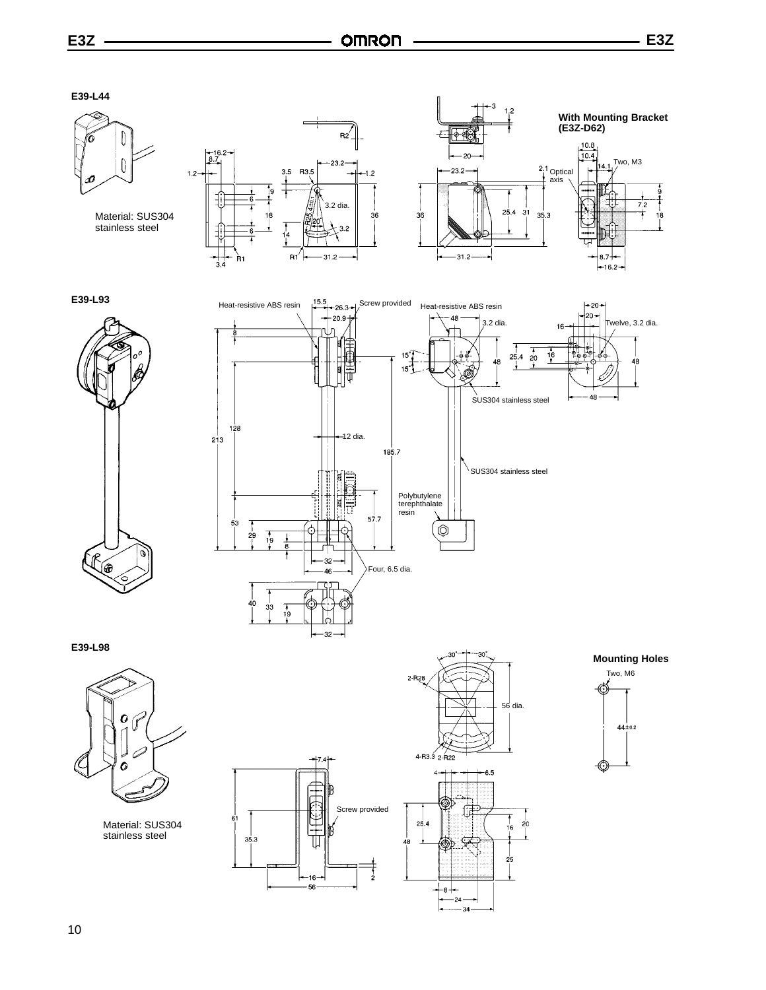**E39-L44**



Material: SUS304 stainless steel

 $1.2 -$ 











**E39-L98**



Material: SUS304 stainless steel









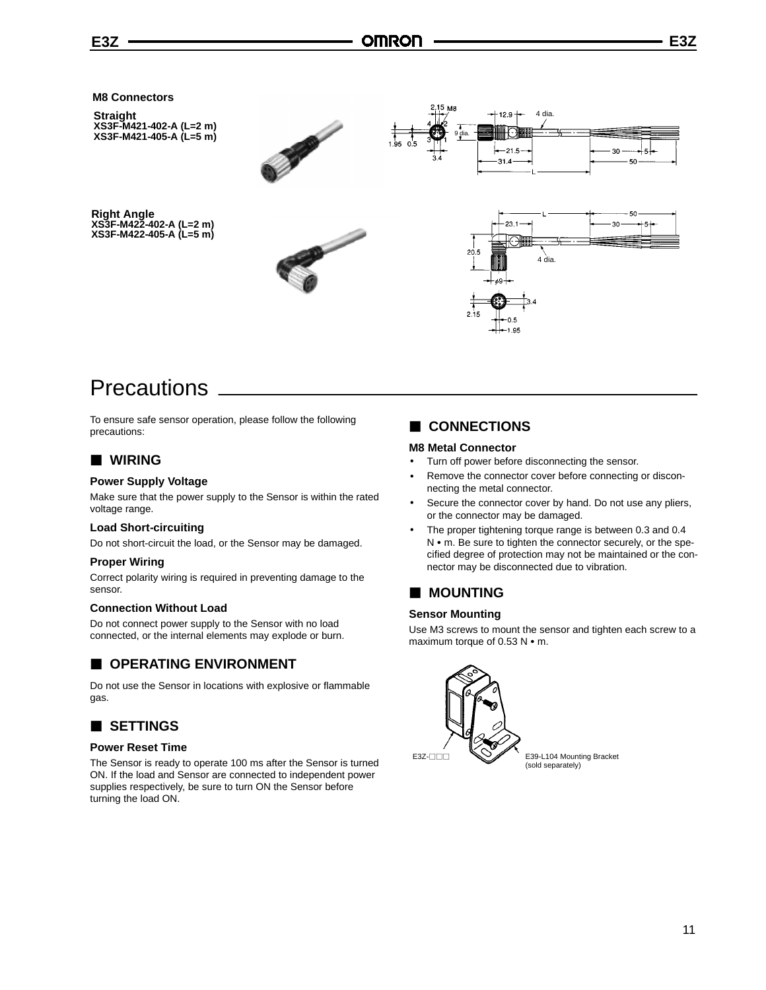

# **Precautions**

To ensure safe sensor operation, please follow the following precautions:

### 3 **WIRING**

### **Power Supply Voltage**

Make sure that the power supply to the Sensor is within the rated voltage range.

#### **Load Short-circuiting**

Do not short-circuit the load, or the Sensor may be damaged.

### **Proper Wiring**

Correct polarity wiring is required in preventing damage to the sensor.

### **Connection Without Load**

Do not connect power supply to the Sensor with no load connected, or the internal elements may explode or burn.

### $\blacksquare$  **OPERATING ENVIRONMENT**

Do not use the Sensor in locations with explosive or flammable gas.

# 3 **SETTINGS**

#### **Power Reset Time**

The Sensor is ready to operate 100 ms after the Sensor is turned ON. If the load and Sensor are connected to independent power supplies respectively, be sure to turn ON the Sensor before turning the load ON.

### 3 **CONNECTIONS**

### **M8 Metal Connector**

- Turn off power before disconnecting the sensor.
- Remove the connector cover before connecting or disconnecting the metal connector.
- Secure the connector cover by hand. Do not use any pliers, or the connector may be damaged.
- The proper tightening torque range is between 0.3 and 0.4 N • m. Be sure to tighten the connector securely, or the specified degree of protection may not be maintained or the connector may be disconnected due to vibration.

### $\blacksquare$  **MOUNTING**

### **Sensor Mounting**

Use M3 screws to mount the sensor and tighten each screw to a maximum torque of  $0.53$  N  $\cdot$  m.

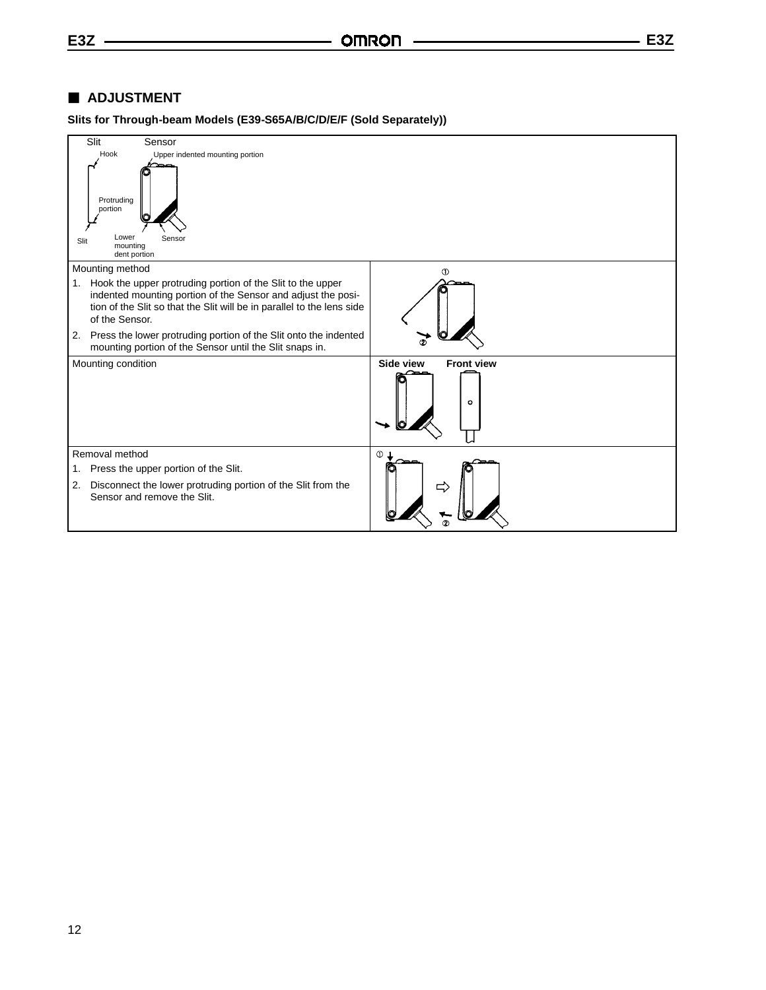### 3 **ADJUSTMENT**

**Slits for Through-beam Models (E39-S65A/B/C/D/E/F (Sold Separately))**

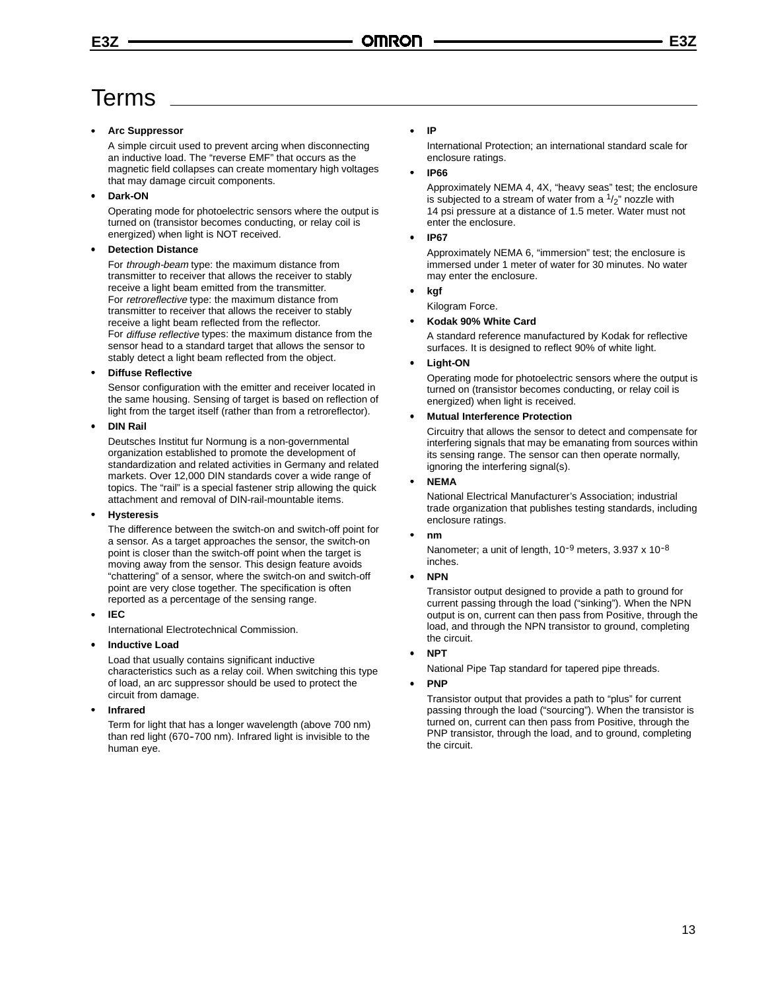# Terms

### • **Arc Suppressor**

A simple circuit used to prevent arcing when disconnecting an inductive load. The "reverse EMF" that occurs as the magnetic field collapses can create momentary high voltages that may damage circuit components.

### • **Dark-ON**

Operating mode for photoelectric sensors where the output is turned on (transistor becomes conducting, or relay coil is energized) when light is NOT received.

### • **Detection Distance**

For through-beam type: the maximum distance from transmitter to receiver that allows the receiver to stably receive a light beam emitted from the transmitter. For retroreflective type: the maximum distance from transmitter to receiver that allows the receiver to stably receive a light beam reflected from the reflector. For diffuse reflective types: the maximum distance from the sensor head to a standard target that allows the sensor to stably detect a light beam reflected from the object.

### • **Diffuse Reflective**

Sensor configuration with the emitter and receiver located in the same housing. Sensing of target is based on reflection of light from the target itself (rather than from a retroreflector).

### • **DIN Rail**

Deutsches Institut fur Normung is a non-governmental organization established to promote the development of standardization and related activities in Germany and related markets. Over 12,000 DIN standards cover a wide range of topics. The "rail" is a special fastener strip allowing the quick attachment and removal of DIN-rail-mountable items.

### • **Hysteresis**

The difference between the switch-on and switch-off point for a sensor. As a target approaches the sensor, the switch-on point is closer than the switch-off point when the target is moving away from the sensor. This design feature avoids "chattering" of a sensor, where the switch-on and switch-off point are very close together. The specification is often reported as a percentage of the sensing range.

### • **IEC**

International Electrotechnical Commission.

### • **Inductive Load**

Load that usually contains significant inductive characteristics such as a relay coil. When switching this type of load, an arc suppressor should be used to protect the circuit from damage.

### • **Infrared**

Term for light that has a longer wavelength (above 700 nm) than red light (670-700 nm). Infrared light is invisible to the human eye.

### • **IP**

International Protection; an international standard scale for enclosure ratings.

### • **IP66**

Approximately NEMA 4, 4X, "heavy seas" test; the enclosure is subjected to a stream of water from a  $1/2$ " nozzle with 14 psi pressure at a distance of 1.5 meter. Water must not enter the enclosure.

### • **IP67**

Approximately NEMA 6, "immersion" test; the enclosure is immersed under 1 meter of water for 30 minutes. No water may enter the enclosure.

### • **kgf**

Kilogram Force.

### • **Kodak 90% White Card**

A standard reference manufactured by Kodak for reflective surfaces. It is designed to reflect 90% of white light.

### • **Light-ON**

Operating mode for photoelectric sensors where the output is turned on (transistor becomes conducting, or relay coil is energized) when light is received.

### • **Mutual Interference Protection**

Circuitry that allows the sensor to detect and compensate for interfering signals that may be emanating from sources within its sensing range. The sensor can then operate normally, ignoring the interfering signal(s).

### • **NEMA**

National Electrical Manufacturer's Association; industrial trade organization that publishes testing standards, including enclosure ratings.

### • **nm**

Nanometer; a unit of length,  $10^{-9}$  meters,  $3.937 \times 10^{-8}$ inches.

### • **NPN**

Transistor output designed to provide a path to ground for current passing through the load ("sinking"). When the NPN output is on, current can then pass from Positive, through the load, and through the NPN transistor to ground, completing the circuit.

### • **NPT**

National Pipe Tap standard for tapered pipe threads.

### • **PNP**

Transistor output that provides a path to "plus" for current passing through the load ("sourcing"). When the transistor is turned on, current can then pass from Positive, through the PNP transistor, through the load, and to ground, completing the circuit.

13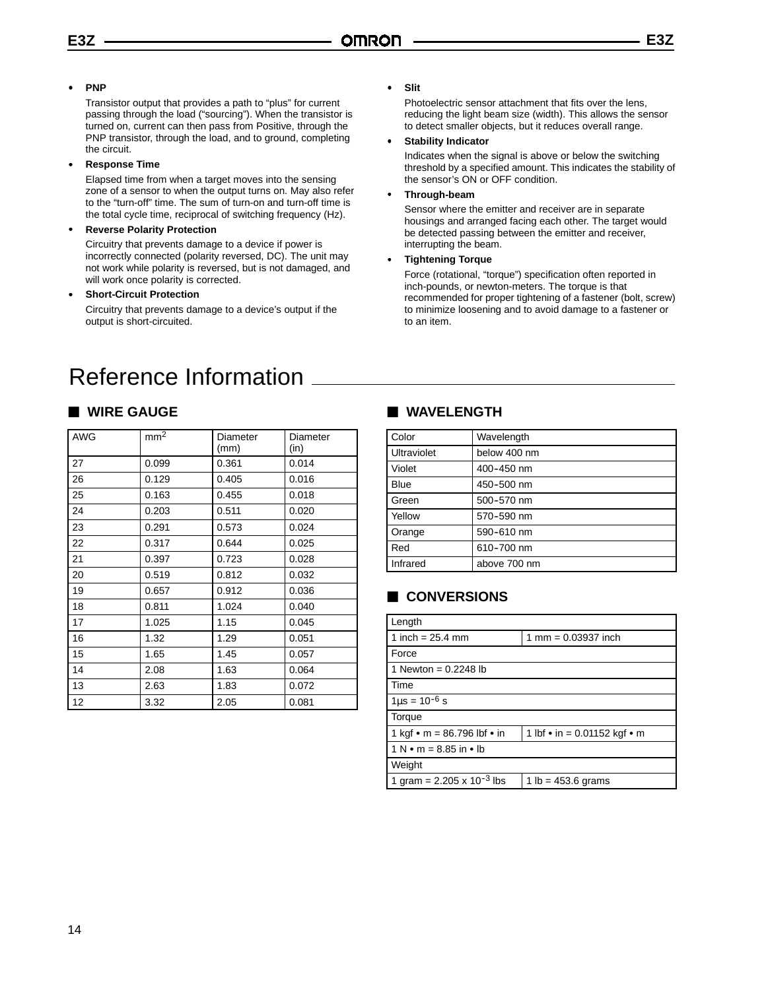### • **PNP**

Transistor output that provides a path to "plus" for current passing through the load ("sourcing"). When the transistor is turned on, current can then pass from Positive, through the PNP transistor, through the load, and to ground, completing the circuit.

• **Response Time**

Elapsed time from when a target moves into the sensing zone of a sensor to when the output turns on. May also refer to the "turn-off" time. The sum of turn-on and turn-off time is the total cycle time, reciprocal of switching frequency (Hz).

### • **Reverse Polarity Protection**

Circuitry that prevents damage to a device if power is incorrectly connected (polarity reversed, DC). The unit may not work while polarity is reversed, but is not damaged, and will work once polarity is corrected.

### • **Short-Circuit Protection**

Circuitry that prevents damage to a device's output if the output is short-circuited.

# Reference Information

### 3 **WIRE GAUGE**

| AWG | mm <sup>2</sup> | Diameter<br>(mm) | Diameter<br>(in) |
|-----|-----------------|------------------|------------------|
| 27  | 0.099           | 0.361            | 0.014            |
| 26  | 0.129           | 0.405            | 0.016            |
| 25  | 0.163           | 0.455            | 0.018            |
| 24  | 0.203           | 0.511            | 0.020            |
| 23  | 0.291           | 0.573            | 0.024            |
| 22  | 0.317           | 0.644            | 0.025            |
| 21  | 0.397           | 0.723            | 0.028            |
| 20  | 0.519           | 0.812            | 0.032            |
| 19  | 0.657           | 0.912            | 0.036            |
| 18  | 0.811           | 1.024            | 0.040            |
| 17  | 1.025           | 1.15             | 0.045            |
| 16  | 1.32            | 1.29             | 0.051            |
| 15  | 1.65            | 1.45             | 0.057            |
| 14  | 2.08            | 1.63             | 0.064            |
| 13  | 2.63            | 1.83             | 0.072            |
| 12  | 3.32            | 2.05             | 0.081            |

#### • **Slit**

Photoelectric sensor attachment that fits over the lens, reducing the light beam size (width). This allows the sensor to detect smaller objects, but it reduces overall range.

#### • **Stability Indicator**

Indicates when the signal is above or below the switching threshold by a specified amount. This indicates the stability of the sensor's ON or OFF condition.

### • **Through-beam**

Sensor where the emitter and receiver are in separate housings and arranged facing each other. The target would be detected passing between the emitter and receiver, interrupting the beam.

### • **Tightening Torque**

Force (rotational, "torque") specification often reported in inch-pounds, or newton-meters. The torque is that recommended for proper tightening of a fastener (bolt, screw) to minimize loosening and to avoid damage to a fastener or to an item.

### 3 **WAVELENGTH**

| Color       | Wavelength   |
|-------------|--------------|
| Ultraviolet | below 400 nm |
| Violet      | 400-450 nm   |
| Blue        | 450-500 nm   |
| Green       | 500-570 nm   |
| Yellow      | 570-590 nm   |
| Orange      | 590-610 nm   |
| Red         | 610-700 nm   |
| Infrared    | above 700 nm |

## 3 **CONVERSIONS**

| Length                                      |                               |
|---------------------------------------------|-------------------------------|
| 1 inch = $25.4$ mm                          | 1 mm = $0.03937$ inch         |
| Force                                       |                               |
| 1 Newton = $0.2248$ lb                      |                               |
| Time                                        |                               |
| $1\mu s = 10^{-6} s$                        |                               |
| Torque                                      |                               |
| 1 kgf $\bullet$ m = 86.796 lbf $\bullet$ in | 1 lbf • in = 0.01152 kgf • m  |
| $1 N \cdot m = 8.85$ in $\cdot$ lb          |                               |
| Weight                                      |                               |
| 1 gram = $2.205 \times 10^{-3}$ lbs         | 1 $\mathsf{lb} = 453.6$ grams |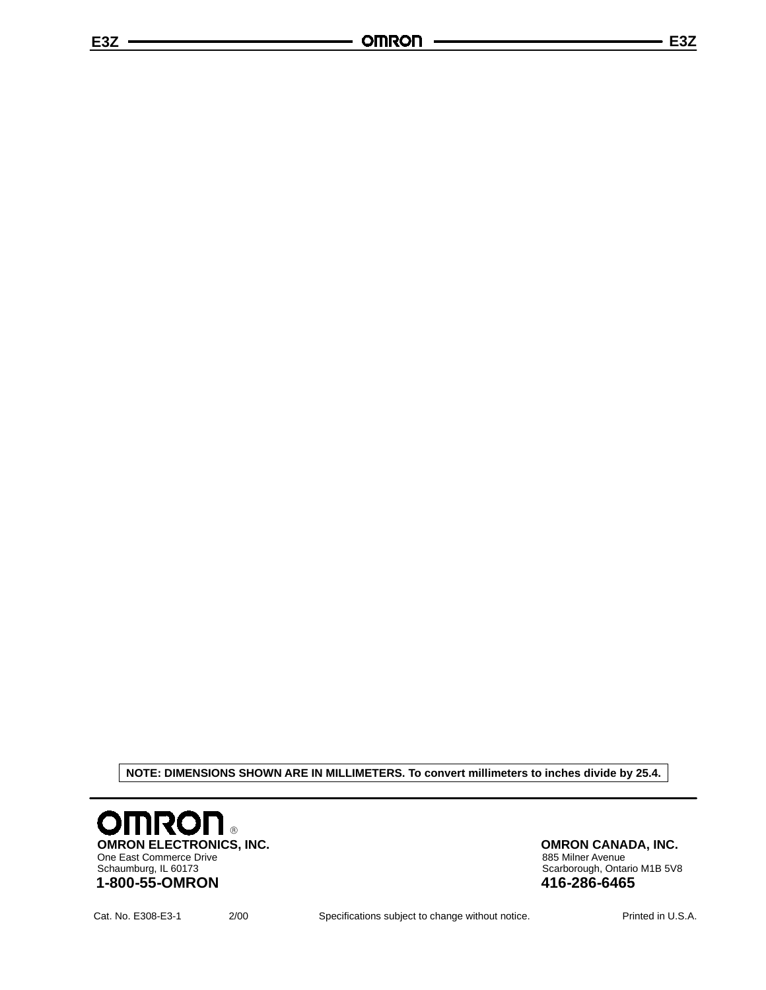**NOTE: DIMENSIONS SHOWN ARE IN MILLIMETERS. To convert millimeters to inches divide by 25.4.**



**OMRON CANADA, INC.** 885 Milner Avenue Scarborough, Ontario M1B 5V8 **416-286-6465**

Cat. No. E308-E3-1 2/00 Specifications subject to change without notice. Printed in U.S.A.